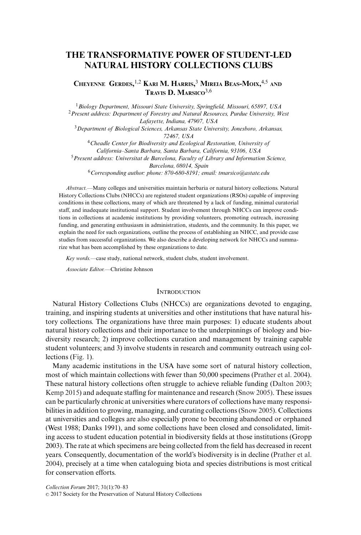# **THE TRANSFORMATIVE POWER OF STUDENT-LED NATURAL HISTORY COLLECTIONS CLUBS**

# **CHEYENNE GERDES,** 1,2 **KARI M. HARRIS,** <sup>3</sup> **MIREIA BEAS-MOIX,** 4,5 **AND TRAVIS D. MARSICO**3,6

<sup>1</sup>*Biology Department, Missouri State University, Springfield, Missouri, 65897, USA* <sup>2</sup>*Present address: Department of Forestry and Natural Resources, Purdue University, West Lafayette, Indiana, 47907, USA* <sup>3</sup>*Department of Biological Sciences, Arkansas State University, Jonesboro, Arkansas, 72467, USA* <sup>4</sup>*Cheadle Center for Biodiversity and Ecological Restoration, University of California–Santa Barbara, Santa Barbara, California, 93106, USA* <sup>5</sup>*Present address: Universitat de Barcelona, Faculty of Library and Information Science, Barcelona, 08014, Spain* <sup>6</sup>*Corresponding author: phone: 870-680-8191; email: tmarsico@astate.edu*

*Abstract.*—Many colleges and universities maintain herbaria or natural history collections. Natural History Collections Clubs (NHCCs) are registered student organizations (RSOs) capable of improving conditions in these collections, many of which are threatened by a lack of funding, minimal curatorial staff, and inadequate institutional support. Student involvement through NHCCs can improve conditions in collections at academic institutions by providing volunteers, promoting outreach, increasing funding, and generating enthusiasm in administration, students, and the community. In this paper, we explain the need for such organizations, outline the process of establishing an NHCC, and provide case studies from successful organizations. We also describe a developing network for NHCCs and summarize what has been accomplished by these organizations to date.

*Key words.—*case study, national network, student clubs, student involvement.

*Associate Editor.—*Christine Johnson

# **INTRODUCTION**

Natural History Collections Clubs (NHCCs) are organizations devoted to engaging, training, and inspiring students at universities and other institutions that have natural history collections. The organizations have three main purposes: 1) educate students about natural history collections and their importance to the underpinnings of biology and biodiversity research; 2) improve collections curation and management by training capable student volunteers; and 3) involve students in research and community outreach using collections [\(Fig. 1\)](#page-1-0).

Many academic institutions in the USA have some sort of natural history collection, most of which maintain collections with fewer than 50,000 specimens [\(Prather et al. 2004\)](#page-10-0). These natural history collections often struggle to achieve reliable funding [\(Dalton 2003;](#page-10-0) [Kemp 2015\)](#page-10-0) and adequate staffing for maintenance and research [\(Snow 2005\).](#page-10-0) These issues can be particularly chronic at universities where curators of collections have many responsibilities in addition to growing, managing, and curating collections [\(Snow 2005\)](#page-10-0). Collections at universities and colleges are also especially prone to becoming abandoned or orphaned (West 1988; Danks 1991), and some collections have been closed and consolidated, limiting access to student education potential in biodiversity fields at those institutions (Gropp 2003). The rate at which specimens are being collected from the field has decreased in recent years. Consequently, documentation of the world's biodiversity is in decline [\(Prather et al.](#page-10-0) [2004\)](#page-10-0), precisely at a time when cataloguing biota and species distributions is most critical for conservation efforts.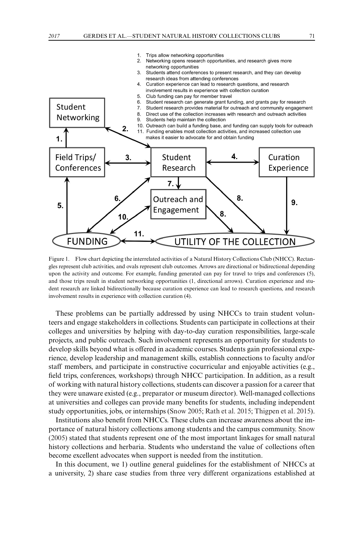<span id="page-1-0"></span>

Figure 1. Flow chart depicting the interrelated activities of a Natural History Collections Club (NHCC). Rectangles represent club activities, and ovals represent club outcomes. Arrows are directional or bidirectional depending upon the activity and outcome. For example, funding generated can pay for travel to trips and conferences (5), and those trips result in student networking opportunities (1, directional arrows). Curation experience and student research are linked bidirectionally because curation experience can lead to research questions, and research involvement results in experience with collection curation (4).

These problems can be partially addressed by using NHCCs to train student volunteers and engage stakeholders in collections. Students can participate in collections at their colleges and universities by helping with day-to-day curation responsibilities, large-scale projects, and public outreach. Such involvement represents an opportunity for students to develop skills beyond what is offered in academic courses. Students gain professional experience, develop leadership and management skills, establish connections to faculty and/or staff members, and participate in constructive cocurricular and enjoyable activities (e.g., field trips, conferences, workshops) through NHCC participation. In addition, as a result of working with natural history collections, students can discover a passion for a career that they were unaware existed (e.g., preparator or museum director). Well-managed collections at universities and colleges can provide many benefits for students, including independent study opportunities, jobs, or internships [\(Snow 2005;](#page-10-0) [Rath et al. 2015;](#page-10-0) [Thigpen et al. 2015\)](#page-10-0).

Institutions also benefit from NHCCs. These clubs can increase awareness about the importance of natural history collections among students and the campus community. [Snow](#page-10-0) [\(2005\)](#page-10-0) stated that students represent one of the most important linkages for small natural history collections and herbaria. Students who understand the value of collections often become excellent advocates when support is needed from the institution.

In this document, we 1) outline general guidelines for the establishment of NHCCs at a university, 2) share case studies from three very different organizations established at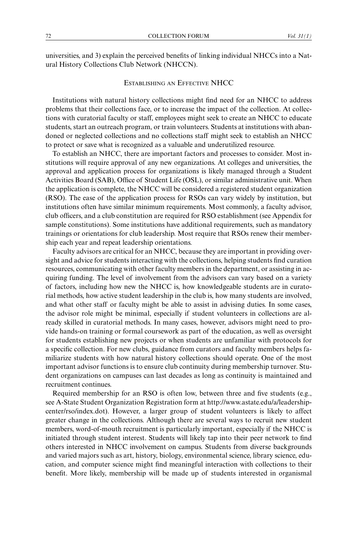universities, and 3) explain the perceived benefits of linking individual NHCCs into a Natural History Collections Club Network (NHCCN).

# ESTABLISHING AN EFFECTIVE NHCC

Institutions with natural history collections might find need for an NHCC to address problems that their collections face, or to increase the impact of the collection. At collections with curatorial faculty or staff, employees might seek to create an NHCC to educate students, start an outreach program, or train volunteers. Students at institutions with abandoned or neglected collections and no collections staff might seek to establish an NHCC to protect or save what is recognized as a valuable and underutilized resource.

To establish an NHCC, there are important factors and processes to consider. Most institutions will require approval of any new organizations. At colleges and universities, the approval and application process for organizations is likely managed through a Student Activities Board (SAB), Office of Student Life (OSL), or similar administrative unit. When the application is complete, the NHCC will be considered a registered student organization (RSO). The ease of the application process for RSOs can vary widely by institution, but institutions often have similar minimum requirements. Most commonly, a faculty advisor, club officers, and a club constitution are required for RSO establishment (see Appendix for sample constitutions). Some institutions have additional requirements, such as mandatory trainings or orientations for club leadership. Most require that RSOs renew their membership each year and repeat leadership orientations.

Faculty advisors are critical for an NHCC, because they are important in providing oversight and advice for students interacting with the collections, helping students find curation resources, communicating with other faculty members in the department, or assisting in acquiring funding. The level of involvement from the advisors can vary based on a variety of factors, including how new the NHCC is, how knowledgeable students are in curatorial methods, how active student leadership in the club is, how many students are involved, and what other staff or faculty might be able to assist in advising duties. In some cases, the advisor role might be minimal, especially if student volunteers in collections are already skilled in curatorial methods. In many cases, however, advisors might need to provide hands-on training or formal coursework as part of the education, as well as oversight for students establishing new projects or when students are unfamiliar with protocols for a specific collection. For new clubs, guidance from curators and faculty members helps familiarize students with how natural history collections should operate. One of the most important advisor functions is to ensure club continuity during membership turnover. Student organizations on campuses can last decades as long as continuity is maintained and recruitment continues.

Required membership for an RSO is often low, between three and five students (e.g., see A-State Student Organization Registration form at http://www.astate.edu/a/leadershipcenter/rso/index.dot). However, a larger group of student volunteers is likely to affect greater change in the collections. Although there are several ways to recruit new student members, word-of-mouth recruitment is particularly important, especially if the NHCC is initiated through student interest. Students will likely tap into their peer network to find others interested in NHCC involvement on campus. Students from diverse backgrounds and varied majors such as art, history, biology, environmental science, library science, education, and computer science might find meaningful interaction with collections to their benefit. More likely, membership will be made up of students interested in organismal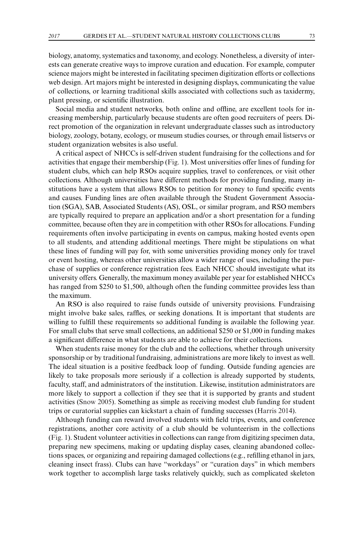biology, anatomy, systematics and taxonomy, and ecology. Nonetheless, a diversity of interests can generate creative ways to improve curation and education. For example, computer science majors might be interested in facilitating specimen digitization efforts or collections web design. Art majors might be interested in designing displays, communicating the value of collections, or learning traditional skills associated with collections such as taxidermy, plant pressing, or scientific illustration.

Social media and student networks, both online and offline, are excellent tools for increasing membership, particularly because students are often good recruiters of peers. Direct promotion of the organization in relevant undergraduate classes such as introductory biology, zoology, botany, ecology, or museum studies courses, or through email listservs or student organization websites is also useful.

A critical aspect of NHCCs is self-driven student fundraising for the collections and for activities that engage their membership [\(Fig. 1\)](#page-1-0). Most universities offer lines of funding for student clubs, which can help RSOs acquire supplies, travel to conferences, or visit other collections. Although universities have different methods for providing funding, many institutions have a system that allows RSOs to petition for money to fund specific events and causes. Funding lines are often available through the Student Government Association (SGA), SAB, Associated Students (AS), OSL, or similar program, and RSO members are typically required to prepare an application and/or a short presentation for a funding committee, because often they are in competition with other RSOs for allocations. Funding requirements often involve participating in events on campus, making hosted events open to all students, and attending additional meetings. There might be stipulations on what these lines of funding will pay for, with some universities providing money only for travel or event hosting, whereas other universities allow a wider range of uses, including the purchase of supplies or conference registration fees. Each NHCC should investigate what its university offers. Generally, the maximum money available per year for established NHCCs has ranged from \$250 to \$1,500, although often the funding committee provides less than the maximum.

An RSO is also required to raise funds outside of university provisions. Fundraising might involve bake sales, raffles, or seeking donations. It is important that students are willing to fulfill these requirements so additional funding is available the following year. For small clubs that serve small collections, an additional \$250 or \$1,000 in funding makes a significant difference in what students are able to achieve for their collections.

When students raise money for the club and the collections, whether through university sponsorship or by traditional fundraising, administrations are more likely to invest as well. The ideal situation is a positive feedback loop of funding. Outside funding agencies are likely to take proposals more seriously if a collection is already supported by students, faculty, staff, and administrators of the institution. Likewise, institution administrators are more likely to support a collection if they see that it is supported by grants and student activities [\(Snow 2005\)](#page-10-0). Something as simple as receiving modest club funding for student trips or curatorial supplies can kickstart a chain of funding successes [\(Harris 2014\)](#page-10-0).

Although funding can reward involved students with field trips, events, and conference registrations, another core activity of a club should be volunteerism in the collections [\(Fig. 1\)](#page-1-0). Student volunteer activities in collections can range from digitizing specimen data, preparing new specimens, making or updating display cases, cleaning abandoned collections spaces, or organizing and repairing damaged collections (e.g., refilling ethanol in jars, cleaning insect frass). Clubs can have "workdays" or "curation days" in which members work together to accomplish large tasks relatively quickly, such as complicated skeleton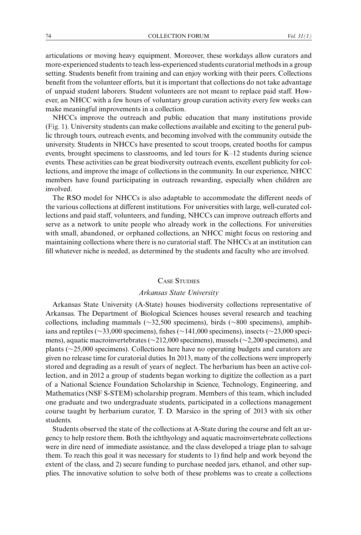articulations or moving heavy equipment. Moreover, these workdays allow curators and more-experienced students to teach less-experienced students curatorial methods in a group setting. Students benefit from training and can enjoy working with their peers. Collections benefit from the volunteer efforts, but it is important that collections do not take advantage of unpaid student laborers. Student volunteers are not meant to replace paid staff. However, an NHCC with a few hours of voluntary group curation activity every few weeks can make meaningful improvements in a collection.

NHCCs improve the outreach and public education that many institutions provide [\(Fig. 1\)](#page-1-0). University students can make collections available and exciting to the general public through tours, outreach events, and becoming involved with the community outside the university. Students in NHCCs have presented to scout troops, created booths for campus events, brought specimens to classrooms, and led tours for K–12 students during science events. These activities can be great biodiversity outreach events, excellent publicity for collections, and improve the image of collections in the community. In our experience, NHCC members have found participating in outreach rewarding, especially when children are involved.

The RSO model for NHCCs is also adaptable to accommodate the different needs of the various collections at different institutions. For universities with large, well-curated collections and paid staff, volunteers, and funding, NHCCs can improve outreach efforts and serve as a network to unite people who already work in the collections. For universities with small, abandoned, or orphaned collections, an NHCC might focus on restoring and maintaining collections where there is no curatorial staff. The NHCCs at an institution can fill whatever niche is needed, as determined by the students and faculty who are involved.

# CASE STUDIES

# *Arkansas State University*

Arkansas State University (A-State) houses biodiversity collections representative of Arkansas. The Department of Biological Sciences houses several research and teaching collections, including mammals (∼32,500 specimens), birds (∼800 specimens), amphibians and reptiles (∼33,000 specimens), fishes (∼141,000 specimens), insects (∼23,000 specimens), aquatic macroinvertebrates (∼212,000 specimens), mussels (∼2,200 specimens), and plants (∼25,000 specimens). Collections here have no operating budgets and curators are given no release time for curatorial duties. In 2013, many of the collections were improperly stored and degrading as a result of years of neglect. The herbarium has been an active collection, and in 2012 a group of students began working to digitize the collection as a part of a National Science Foundation Scholarship in Science, Technology, Engineering, and Mathematics (NSF S-STEM) scholarship program. Members of this team, which included one graduate and two undergraduate students, participated in a collections management course taught by herbarium curator, T. D. Marsico in the spring of 2013 with six other students.

Students observed the state of the collections at A-State during the course and felt an urgency to help restore them. Both the ichthyology and aquatic macroinvertebrate collections were in dire need of immediate assistance, and the class developed a triage plan to salvage them. To reach this goal it was necessary for students to 1) find help and work beyond the extent of the class, and 2) secure funding to purchase needed jars, ethanol, and other supplies. The innovative solution to solve both of these problems was to create a collections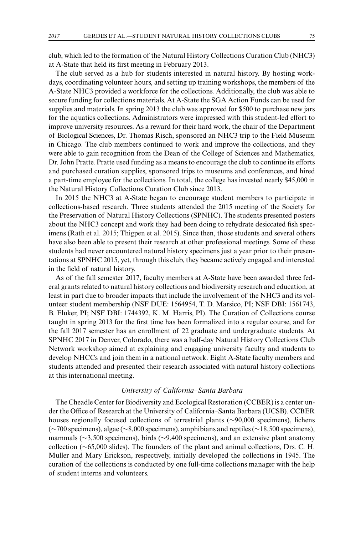club, which led to the formation of the Natural History Collections Curation Club (NHC3) at A-State that held its first meeting in February 2013.

The club served as a hub for students interested in natural history. By hosting workdays, coordinating volunteer hours, and setting up training workshops, the members of the A-State NHC3 provided a workforce for the collections. Additionally, the club was able to secure funding for collections materials. At A-State the SGA Action Funds can be used for supplies and materials. In spring 2013 the club was approved for \$500 to purchase new jars for the aquatics collections. Administrators were impressed with this student-led effort to improve university resources. As a reward for their hard work, the chair of the Department of Biological Sciences, Dr. Thomas Risch, sponsored an NHC3 trip to the Field Museum in Chicago. The club members continued to work and improve the collections, and they were able to gain recognition from the Dean of the College of Sciences and Mathematics, Dr. John Pratte. Pratte used funding as a means to encourage the club to continue its efforts and purchased curation supplies, sponsored trips to museums and conferences, and hired a part-time employee for the collections. In total, the college has invested nearly \$45,000 in the Natural History Collections Curation Club since 2013.

In 2015 the NHC3 at A-State began to encourage student members to participate in collections-based research. Three students attended the 2015 meeting of the Society for the Preservation of Natural History Collections (SPNHC). The students presented posters about the NHC3 concept and work they had been doing to rehydrate desiccated fish specimens [\(Rath et al. 2015;](#page-10-0) [Thigpen et al. 2015\)](#page-10-0). Since then, those students and several others have also been able to present their research at other professional meetings. Some of these students had never encountered natural history specimens just a year prior to their presentations at SPNHC 2015, yet, through this club, they became actively engaged and interested in the field of natural history.

As of the fall semester 2017, faculty members at A-State have been awarded three federal grants related to natural history collections and biodiversity research and education, at least in part due to broader impacts that include the involvement of the NHC3 and its volunteer student membership (NSF DUE: 1564954, T. D. Marsico, PI; NSF DBI: 1561743, B. Fluker, PI; NSF DBI: 1744392, K. M. Harris, PI). The Curation of Collections course taught in spring 2013 for the first time has been formalized into a regular course, and for the fall 2017 semester has an enrollment of 22 graduate and undergraduate students. At SPNHC 2017 in Denver, Colorado, there was a half-day Natural History Collections Club Network workshop aimed at explaining and engaging university faculty and students to develop NHCCs and join them in a national network. Eight A-State faculty members and students attended and presented their research associated with natural history collections at this international meeting.

# *University of California–Santa Barbara*

The Cheadle Center for Biodiversity and Ecological Restoration (CCBER) is a center under the Office of Research at the University of California–Santa Barbara (UCSB). CCBER houses regionally focused collections of terrestrial plants (∼90,000 specimens), lichens (∼700 specimens), algae (∼8,000 specimens), amphibians and reptiles (∼18,500 specimens), mammals (∼3,500 specimens), birds (∼9,400 specimens), and an extensive plant anatomy collection (∼65,000 slides). The founders of the plant and animal collections, Drs. C. H. Muller and Mary Erickson, respectively, initially developed the collections in 1945. The curation of the collections is conducted by one full-time collections manager with the help of student interns and volunteers.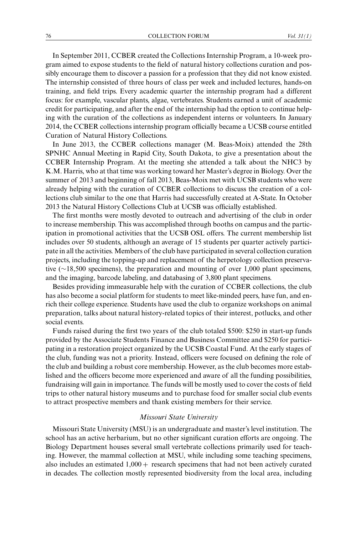In September 2011, CCBER created the Collections Internship Program, a 10-week program aimed to expose students to the field of natural history collections curation and possibly encourage them to discover a passion for a profession that they did not know existed. The internship consisted of three hours of class per week and included lectures, hands-on training, and field trips. Every academic quarter the internship program had a different focus: for example, vascular plants, algae, vertebrates. Students earned a unit of academic credit for participating, and after the end of the internship had the option to continue helping with the curation of the collections as independent interns or volunteers. In January 2014, the CCBER collections internship program officially became a UCSB course entitled Curation of Natural History Collections.

In June 2013, the CCBER collections manager (M. Beas-Moix) attended the 28th SPNHC Annual Meeting in Rapid City, South Dakota, to give a presentation about the CCBER Internship Program. At the meeting she attended a talk about the NHC3 by K.M. Harris, who at that time was working toward her Master's degree in Biology. Over the summer of 2013 and beginning of fall 2013, Beas-Moix met with UCSB students who were already helping with the curation of CCBER collections to discuss the creation of a collections club similar to the one that Harris had successfully created at A-State. In October 2013 the Natural History Collections Club at UCSB was officially established.

The first months were mostly devoted to outreach and advertising of the club in order to increase membership. This was accomplished through booths on campus and the participation in promotional activities that the UCSB OSL offers. The current membership list includes over 50 students, although an average of 15 students per quarter actively participate in all the activities. Members of the club have participated in several collection curation projects, including the topping-up and replacement of the herpetology collection preservative (∼18,500 specimens), the preparation and mounting of over 1,000 plant specimens, and the imaging, barcode labeling, and databasing of 3,800 plant specimens.

Besides providing immeasurable help with the curation of CCBER collections, the club has also become a social platform for students to meet like-minded peers, have fun, and enrich their college experience. Students have used the club to organize workshops on animal preparation, talks about natural history-related topics of their interest, potlucks, and other social events.

Funds raised during the first two years of the club totaled \$500: \$250 in start-up funds provided by the Associate Students Finance and Business Committee and \$250 for participating in a restoration project organized by the UCSB Coastal Fund. At the early stages of the club, funding was not a priority. Instead, officers were focused on defining the role of the club and building a robust core membership. However, as the club becomes more established and the officers become more experienced and aware of all the funding possibilities, fundraising will gain in importance. The funds will be mostly used to cover the costs of field trips to other natural history museums and to purchase food for smaller social club events to attract prospective members and thank existing members for their service.

### *Missouri State University*

Missouri State University (MSU) is an undergraduate and master's level institution. The school has an active herbarium, but no other significant curation efforts are ongoing. The Biology Department houses several small vertebrate collections primarily used for teaching. However, the mammal collection at MSU, while including some teaching specimens, also includes an estimated  $1,000 +$  research specimens that had not been actively curated in decades. The collection mostly represented biodiversity from the local area, including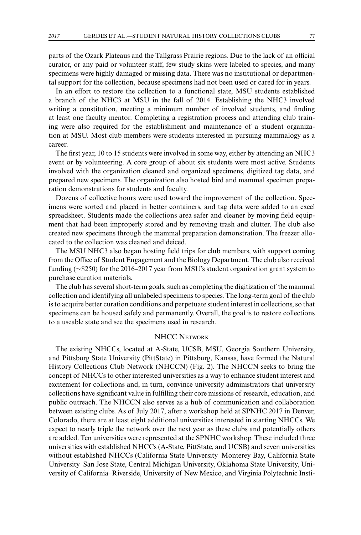parts of the Ozark Plateaus and the Tallgrass Prairie regions. Due to the lack of an official curator, or any paid or volunteer staff, few study skins were labeled to species, and many specimens were highly damaged or missing data. There was no institutional or departmental support for the collection, because specimens had not been used or cared for in years.

In an effort to restore the collection to a functional state, MSU students established a branch of the NHC3 at MSU in the fall of 2014. Establishing the NHC3 involved writing a constitution, meeting a minimum number of involved students, and finding at least one faculty mentor. Completing a registration process and attending club training were also required for the establishment and maintenance of a student organization at MSU. Most club members were students interested in pursuing mammalogy as a career.

The first year, 10 to 15 students were involved in some way, either by attending an NHC3 event or by volunteering. A core group of about six students were most active. Students involved with the organization cleaned and organized specimens, digitized tag data, and prepared new specimens. The organization also hosted bird and mammal specimen preparation demonstrations for students and faculty.

Dozens of collective hours were used toward the improvement of the collection. Specimens were sorted and placed in better containers, and tag data were added to an excel spreadsheet. Students made the collections area safer and cleaner by moving field equipment that had been improperly stored and by removing trash and clutter. The club also created new specimens through the mammal preparation demonstration. The freezer allocated to the collection was cleaned and deiced.

The MSU NHC3 also began hosting field trips for club members, with support coming from the Office of Student Engagement and the Biology Department. The club also received funding (∼\$250) for the 2016–2017 year from MSU's student organization grant system to purchase curation materials.

The club has several short-term goals, such as completing the digitization of the mammal collection and identifying all unlabeled specimens to species. The long-term goal of the club is to acquire better curation conditions and perpetuate student interest in collections, so that specimens can be housed safely and permanently. Overall, the goal is to restore collections to a useable state and see the specimens used in research.

# NHCC NETWORK

The existing NHCCs, located at A-State, UCSB, MSU, Georgia Southern University, and Pittsburg State University (PittState) in Pittsburg, Kansas, have formed the Natural History Collections Club Network (NHCCN) [\(Fig. 2\)](#page-8-0). The NHCCN seeks to bring the concept of NHCCs to other interested universities as a way to enhance student interest and excitement for collections and, in turn, convince university administrators that university collections have significant value in fulfilling their core missions of research, education, and public outreach. The NHCCN also serves as a hub of communication and collaboration between existing clubs. As of July 2017, after a workshop held at SPNHC 2017 in Denver, Colorado, there are at least eight additional universities interested in starting NHCCs. We expect to nearly triple the network over the next year as these clubs and potentially others are added. Ten universities were represented at the SPNHC workshop. These included three universities with established NHCCs (A-State, PittState, and UCSB) and seven universities without established NHCCs (California State University–Monterey Bay, California State University–San Jose State, Central Michigan University, Oklahoma State University, University of California–Riverside, University of New Mexico, and Virginia Polytechnic Insti-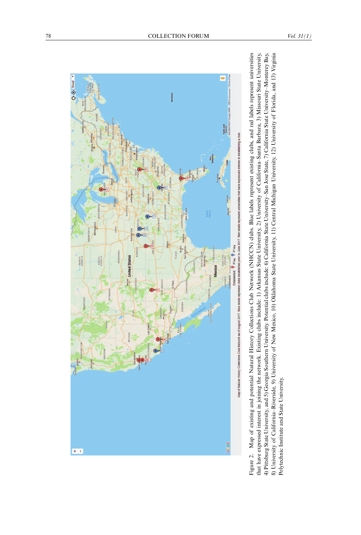<span id="page-8-0"></span>

Figure 2. Map of existing and potential Natural History Collections Club Network (NHCCN) clubs. Blue labels represent existing clubs, and red labels represent universities that have expressed interest in joining the network. Existing clubs include: 1) Arkansas State University, 2) University of California-Santa Barbara, 3) Missouri State University, 4) Pittsburg State University, and 5) Georgia Southern University. Potential clubs include: 6) California State University-San Jose State, 7) California State University-Monterey Bay, 8) University of California-Riverside, 9) University of New Mexico, 10) Oklahoma State University, 11) Central Michigan University, 12) University of Florida, and 13) Virginia Figure 2. Map of existing and potential Natural History Collections Club Network (NHCCN) clubs. Blue labels represent existing clubs, and red labels represent universities<br>that have expressed interest in joining the netw Polytechnic Institute and State University.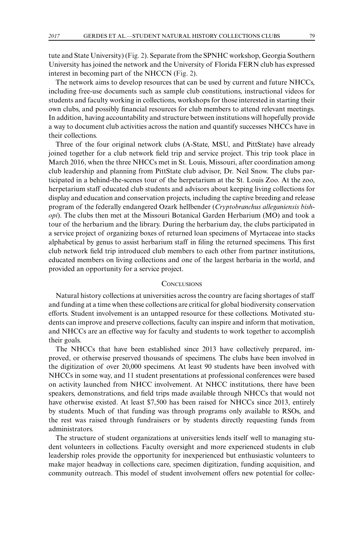tute and State University) [\(Fig. 2\)](#page-8-0). Separate from the SPNHC workshop, Georgia Southern University has joined the network and the University of Florida FERN club has expressed interest in becoming part of the NHCCN [\(Fig. 2\)](#page-8-0).

The network aims to develop resources that can be used by current and future NHCCs, including free-use documents such as sample club constitutions, instructional videos for students and faculty working in collections, workshops for those interested in starting their own clubs, and possibly financial resources for club members to attend relevant meetings. In addition, having accountability and structure between institutions will hopefully provide a way to document club activities across the nation and quantify successes NHCCs have in their collections.

Three of the four original network clubs (A-State, MSU, and PittState) have already joined together for a club network field trip and service project. This trip took place in March 2016, when the three NHCCs met in St. Louis, Missouri, after coordination among club leadership and planning from PittState club advisor, Dr. Neil Snow. The clubs participated in a behind-the-scenes tour of the herpetarium at the St. Louis Zoo. At the zoo, herpetarium staff educated club students and advisors about keeping living collections for display and education and conservation projects, including the captive breeding and release program of the federally endangered Ozark hellbender (*Cryptobranchus alleganiensis bishopi*). The clubs then met at the Missouri Botanical Garden Herbarium (MO) and took a tour of the herbarium and the library. During the herbarium day, the clubs participated in a service project of organizing boxes of returned loan specimens of Myrtaceae into stacks alphabetical by genus to assist herbarium staff in filing the returned specimens. This first club network field trip introduced club members to each other from partner institutions, educated members on living collections and one of the largest herbaria in the world, and provided an opportunity for a service project.

# **CONCLUSIONS**

Natural history collections at universities across the country are facing shortages of staff and funding at a time when these collections are critical for global biodiversity conservation efforts. Student involvement is an untapped resource for these collections. Motivated students can improve and preserve collections, faculty can inspire and inform that motivation, and NHCCs are an effective way for faculty and students to work together to accomplish their goals.

The NHCCs that have been established since 2013 have collectively prepared, improved, or otherwise preserved thousands of specimens. The clubs have been involved in the digitization of over 20,000 specimens. At least 90 students have been involved with NHCCs in some way, and 11 student presentations at professional conferences were based on activity launched from NHCC involvement. At NHCC institutions, there have been speakers, demonstrations, and field trips made available through NHCCs that would not have otherwise existed. At least \$7,500 has been raised for NHCCs since 2013, entirely by students. Much of that funding was through programs only available to RSOs, and the rest was raised through fundraisers or by students directly requesting funds from administrators.

The structure of student organizations at universities lends itself well to managing student volunteers in collections. Faculty oversight and more experienced students in club leadership roles provide the opportunity for inexperienced but enthusiastic volunteers to make major headway in collections care, specimen digitization, funding acquisition, and community outreach. This model of student involvement offers new potential for collec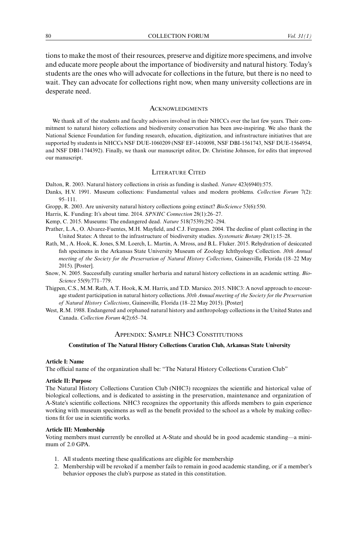<span id="page-10-0"></span>tions to make the most of their resources, preserve and digitize more specimens, and involve and educate more people about the importance of biodiversity and natural history. Today's students are the ones who will advocate for collections in the future, but there is no need to wait. They can advocate for collections right now, when many university collections are in desperate need.

# **ACKNOWLEDGMENTS**

We thank all of the students and faculty advisors involved in their NHCCs over the last few years. Their commitment to natural history collections and biodiversity conservation has been awe-inspiring. We also thank the National Science Foundation for funding research, education, digitization, and infrastructure initiatives that are supported by students in NHCCs NSF DUE-1060209 (NSF EF-1410098, NSF DBI-1561743, NSF DUE-1564954, and NSF DBI-1744392). Finally, we thank our manuscript editor, Dr. Christine Johnson, for edits that improved our manuscript.

## LITERATURE CITED

Dalton, R. 2003. Natural history collections in crisis as funding is slashed. *Nature* 423(6940):575.

- Danks, H.V. 1991. Museum collections: Fundamental values and modern problems. *Collection Forum* 7(2): 95–111.
- Gropp, R. 2003. Are university natural history collections going extinct? *BioScience* 53(6):550.

Harris, K. Funding: It's about time. 2014. *SPNHC Connection* 28(1):26–27.

- Kemp, C. 2015. Museums: The endangered dead. *Nature* 518(7539):292–294.
- Prather, L.A., O. Alvarez-Fuentes, M.H. Mayfield, and C.J. Ferguson. 2004. The decline of plant collecting in the United States: A threat to the infrastructure of biodiversity studies. *Systematic Botany* 29(1):15–28.
- Rath, M., A. Hook, K. Jones, S.M. Loerch, L. Martin, A. Mross, and B.L. Fluker. 2015. Rehydration of desiccated fish specimens in the Arkansas State University Museum of Zoology Ichthyology Collection. *30th Annual meeting of the Society for the Preservation of Natural History Collections*, Gainesville, Florida (18–22 May 2015). [Poster].
- Snow, N. 2005. Successfully curating smaller herbaria and natural history collections in an academic setting. *Bio-Science* 55(9):771–779.
- Thigpen, C.S., M.M. Rath, A.T. Hook, K.M. Harris, and T.D. Marsico. 2015. NHC3: A novel approach to encourage student participation in natural history collections. *30th Annual meeting of the Society for the Preservation of Natural History Collections*, Gainesville, Florida (18–22 May 2015). [Poster]
- West, R.M. 1988. Endangered and orphaned natural history and anthropology collections in the United States and Canada. *Collection Forum* 4(2):65–74.

# APPENDIX: SAMPLE NHC3 CONSTITUTIONS

#### **Constitution of The Natural History Collections Curation Club, Arkansas State University**

#### **Article I: Name**

The official name of the organization shall be: "The Natural History Collections Curation Club"

#### **Article II: Purpose**

The Natural History Collections Curation Club (NHC3) recognizes the scientific and historical value of biological collections, and is dedicated to assisting in the preservation, maintenance and organization of A-State's scientific collections. NHC3 recognizes the opportunity this affords members to gain experience working with museum specimens as well as the benefit provided to the school as a whole by making collections fit for use in scientific works.

#### **Article III: Membership**

Voting members must currently be enrolled at A-State and should be in good academic standing—a minimum of 2.0 GPA.

- 1. All students meeting these qualifications are eligible for membership
- 2. Membership will be revoked if a member fails to remain in good academic standing, or if a member's behavior opposes the club's purpose as stated in this constitution.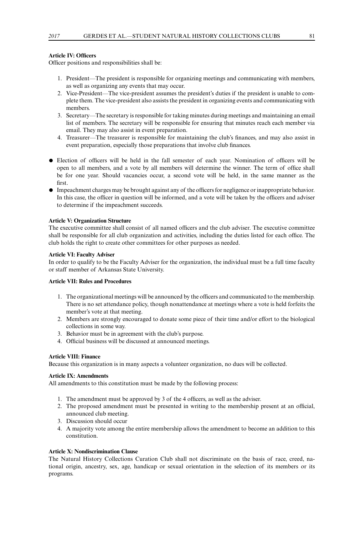### **Article IV: Officers**

Officer positions and responsibilities shall be:

- 1. President—The president is responsible for organizing meetings and communicating with members, as well as organizing any events that may occur.
- 2. Vice-President—The vice-president assumes the president's duties if the president is unable to complete them. The vice-president also assists the president in organizing events and communicating with members.
- 3. Secretary—The secretary is responsible for taking minutes during meetings and maintaining an email list of members. The secretary will be responsible for ensuring that minutes reach each member via email. They may also assist in event preparation.
- 4. Treasurer—The treasurer is responsible for maintaining the club's finances, and may also assist in event preparation, especially those preparations that involve club finances.
- Election of officers will be held in the fall semester of each year. Nomination of officers will be open to all members, and a vote by all members will determine the winner. The term of office shall be for one year. Should vacancies occur, a second vote will be held, in the same manner as the first.
- Impeachment charges may be brought against any of the officers for negligence or inappropriate behavior. In this case, the officer in question will be informed, and a vote will be taken by the officers and adviser to determine if the impeachment succeeds.

#### **Article V: Organization Structure**

The executive committee shall consist of all named officers and the club adviser. The executive committee shall be responsible for all club organization and activities, including the duties listed for each office. The club holds the right to create other committees for other purposes as needed.

#### **Article VI: Faculty Adviser**

In order to qualify to be the Faculty Adviser for the organization, the individual must be a full time faculty or staff member of Arkansas State University.

## **Article VII: Rules and Procedures**

- 1. The organizational meetings will be announced by the officers and communicated to the membership. There is no set attendance policy, though nonattendance at meetings where a vote is held forfeits the member's vote at that meeting.
- 2. Members are strongly encouraged to donate some piece of their time and/or effort to the biological collections in some way.
- 3. Behavior must be in agreement with the club's purpose.
- 4. Official business will be discussed at announced meetings.

### **Article VIII: Finance**

Because this organization is in many aspects a volunteer organization, no dues will be collected.

# **Article IX: Amendments**

All amendments to this constitution must be made by the following process:

- 1. The amendment must be approved by 3 of the 4 officers, as well as the adviser.
- 2. The proposed amendment must be presented in writing to the membership present at an official, announced club meeting.
- 3. Discussion should occur
- 4. A majority vote among the entire membership allows the amendment to become an addition to this constitution.

#### **Article X: Nondiscrimination Clause**

The Natural History Collections Curation Club shall not discriminate on the basis of race, creed, national origin, ancestry, sex, age, handicap or sexual orientation in the selection of its members or its programs.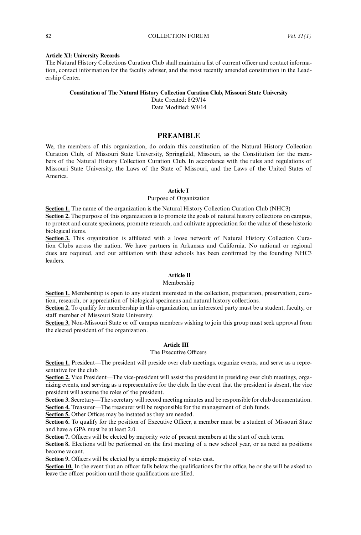#### **Article XI: University Records**

The Natural History Collections Curation Club shall maintain a list of current officer and contact information, contact information for the faculty adviser, and the most recently amended constitution in the Leadership Center.

#### **Constitution of The Natural History Collection Curation Club, Missouri State University**

Date Created: 8/29/14 Date Modified: 9/4/14

# **PREAMBLE**

We, the members of this organization, do ordain this constitution of the Natural History Collection Curation Club, of Missouri State University, Springfield, Missouri, as the Constitution for the members of the Natural History Collection Curation Club. In accordance with the rules and regulations of Missouri State University, the Laws of the State of Missouri, and the Laws of the United States of America.

### **Article I**

#### Purpose of Organization

**Section 1.** The name of the organization is the Natural History Collection Curation Club (NHC3)

**Section 2.** The purpose of this organization is to promote the goals of natural history collections on campus, to protect and curate specimens, promote research, and cultivate appreciation for the value of these historic biological items.

**Section 3.** This organization is affiliated with a loose network of Natural History Collection Curation Clubs across the nation. We have partners in Arkansas and California. No national or regional dues are required, and our affiliation with these schools has been confirmed by the founding NHC3 leaders.

# **Article II**

# Membership

**Section 1.** Membership is open to any student interested in the collection, preparation, preservation, curation, research, or appreciation of biological specimens and natural history collections.

**Section 2.** To qualify for membership in this organization, an interested party must be a student, faculty, or staff member of Missouri State University.

**Section 3.** Non-Missouri State or off campus members wishing to join this group must seek approval from the elected president of the organization.

# **Article III**

## The Executive Officers

**Section 1.** President—The president will preside over club meetings, organize events, and serve as a representative for the club.

**Section 2.** Vice President—The vice-president will assist the president in presiding over club meetings, organizing events, and serving as a representative for the club. In the event that the president is absent, the vice president will assume the roles of the president.

**Section 3.** Secretary—The secretary will record meeting minutes and be responsible for club documentation. **Section 4.** Treasurer—The treasurer will be responsible for the management of club funds.

**Section 5.** Other Offices may be instated as they are needed.

Section 6. To qualify for the position of Executive Officer, a member must be a student of Missouri State and have a GPA must be at least 2.0.

**Section 7.** Officers will be elected by majority vote of present members at the start of each term.

Section 8. Elections will be performed on the first meeting of a new school year, or as need as positions become vacant.

**Section 9.** Officers will be elected by a simple majority of votes cast.

**Section 10.** In the event that an officer falls below the qualifications for the office, he or she will be asked to leave the officer position until those qualifications are filled.